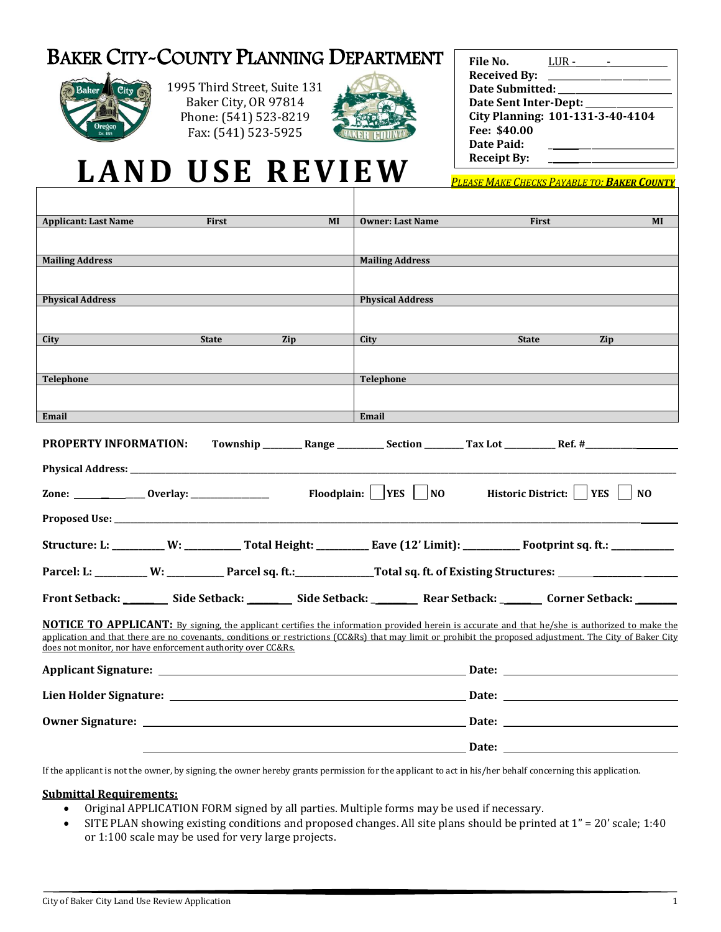## BAKER CITY-COUNTY PLANNING DEPARTMENT



1995 Third Street, Suite 131 Baker City, OR 97814 Phone: (541) 523-8219 Fax: (541) 523-5925



| File No.                   | LUR -                            |  |
|----------------------------|----------------------------------|--|
| <b>Received By:</b>        |                                  |  |
| <b>Date Submitted:</b>     |                                  |  |
| Date Sent Inter-Dept: ____ |                                  |  |
|                            | City Planning: 101-131-3-40-4104 |  |
| Fee: \$40.00               |                                  |  |
| Date Paid:                 |                                  |  |
| <b>Receipt By:</b>         |                                  |  |

# **LAN D U SE REVIEW**

*PLEASE MAKE CHECKS PAYABLE TO: BAKER COUNTY*

| MI<br><b>Applicant: Last Name</b><br>First                                                                                                                                                                                                                                                                          | First<br>MI<br><b>Owner: Last Name</b>                                                                                                |  |
|---------------------------------------------------------------------------------------------------------------------------------------------------------------------------------------------------------------------------------------------------------------------------------------------------------------------|---------------------------------------------------------------------------------------------------------------------------------------|--|
|                                                                                                                                                                                                                                                                                                                     |                                                                                                                                       |  |
| <b>Mailing Address</b>                                                                                                                                                                                                                                                                                              | <b>Mailing Address</b>                                                                                                                |  |
|                                                                                                                                                                                                                                                                                                                     |                                                                                                                                       |  |
|                                                                                                                                                                                                                                                                                                                     |                                                                                                                                       |  |
| <b>Physical Address</b>                                                                                                                                                                                                                                                                                             | <b>Physical Address</b>                                                                                                               |  |
|                                                                                                                                                                                                                                                                                                                     |                                                                                                                                       |  |
| Zip<br>City<br><b>State</b>                                                                                                                                                                                                                                                                                         | Zip<br>City<br><b>State</b>                                                                                                           |  |
|                                                                                                                                                                                                                                                                                                                     |                                                                                                                                       |  |
|                                                                                                                                                                                                                                                                                                                     |                                                                                                                                       |  |
| <b>Telephone</b>                                                                                                                                                                                                                                                                                                    | <b>Telephone</b>                                                                                                                      |  |
|                                                                                                                                                                                                                                                                                                                     |                                                                                                                                       |  |
| Email                                                                                                                                                                                                                                                                                                               | Email                                                                                                                                 |  |
|                                                                                                                                                                                                                                                                                                                     |                                                                                                                                       |  |
| PROPERTY INFORMATION:                                                                                                                                                                                                                                                                                               |                                                                                                                                       |  |
|                                                                                                                                                                                                                                                                                                                     |                                                                                                                                       |  |
| Physical Address: the contract of the contract of the contract of the contract of the contract of the contract of the contract of the contract of the contract of the contract of the contract of the contract of the contract                                                                                      |                                                                                                                                       |  |
| Floodplain:   YES   NO<br>Historic District:     YES  <br><b>NO</b>                                                                                                                                                                                                                                                 |                                                                                                                                       |  |
|                                                                                                                                                                                                                                                                                                                     |                                                                                                                                       |  |
|                                                                                                                                                                                                                                                                                                                     | Structure: L: _________ W: _____________ Total Height: _____________ Eave (12' Limit): _____________ Footprint sq. ft.: _____________ |  |
|                                                                                                                                                                                                                                                                                                                     |                                                                                                                                       |  |
| Parcel: L: _________ W: ___________ Parcel sq. ft.: _________________Total sq. ft. of Existing Structures: __________________                                                                                                                                                                                       |                                                                                                                                       |  |
| Front Setback: Side Setback: Side Setback: Side Setback: Side Setback: Side Setback: Side Setback: Side Setback                                                                                                                                                                                                     |                                                                                                                                       |  |
|                                                                                                                                                                                                                                                                                                                     |                                                                                                                                       |  |
| <b>NOTICE TO APPLICANT:</b> By signing, the applicant certifies the information provided herein is accurate and that he/she is authorized to make the<br>application and that there are no covenants, conditions or restrictions (CC&Rs) that may limit or prohibit the proposed adjustment. The City of Baker City |                                                                                                                                       |  |
| does not monitor, nor have enforcement authority over CC&Rs.                                                                                                                                                                                                                                                        |                                                                                                                                       |  |
|                                                                                                                                                                                                                                                                                                                     |                                                                                                                                       |  |
|                                                                                                                                                                                                                                                                                                                     |                                                                                                                                       |  |
|                                                                                                                                                                                                                                                                                                                     |                                                                                                                                       |  |
|                                                                                                                                                                                                                                                                                                                     |                                                                                                                                       |  |
|                                                                                                                                                                                                                                                                                                                     |                                                                                                                                       |  |
| Date: the contract of the contract of the contract of the contract of the contract of the contract of the contract of the contract of the contract of the contract of the contract of the contract of the contract of the cont                                                                                      |                                                                                                                                       |  |
|                                                                                                                                                                                                                                                                                                                     |                                                                                                                                       |  |

If the applicant is not the owner, by signing, the owner hereby grants permission for the applicant to act in his/her behalf concerning this application.

#### **Submittal Requirements:**

- Original APPLICATION FORM signed by all parties. Multiple forms may be used if necessary.
- SITE PLAN showing existing conditions and proposed changes. All site plans should be printed at 1" = 20' scale; 1:40 or 1:100 scale may be used for very large projects.